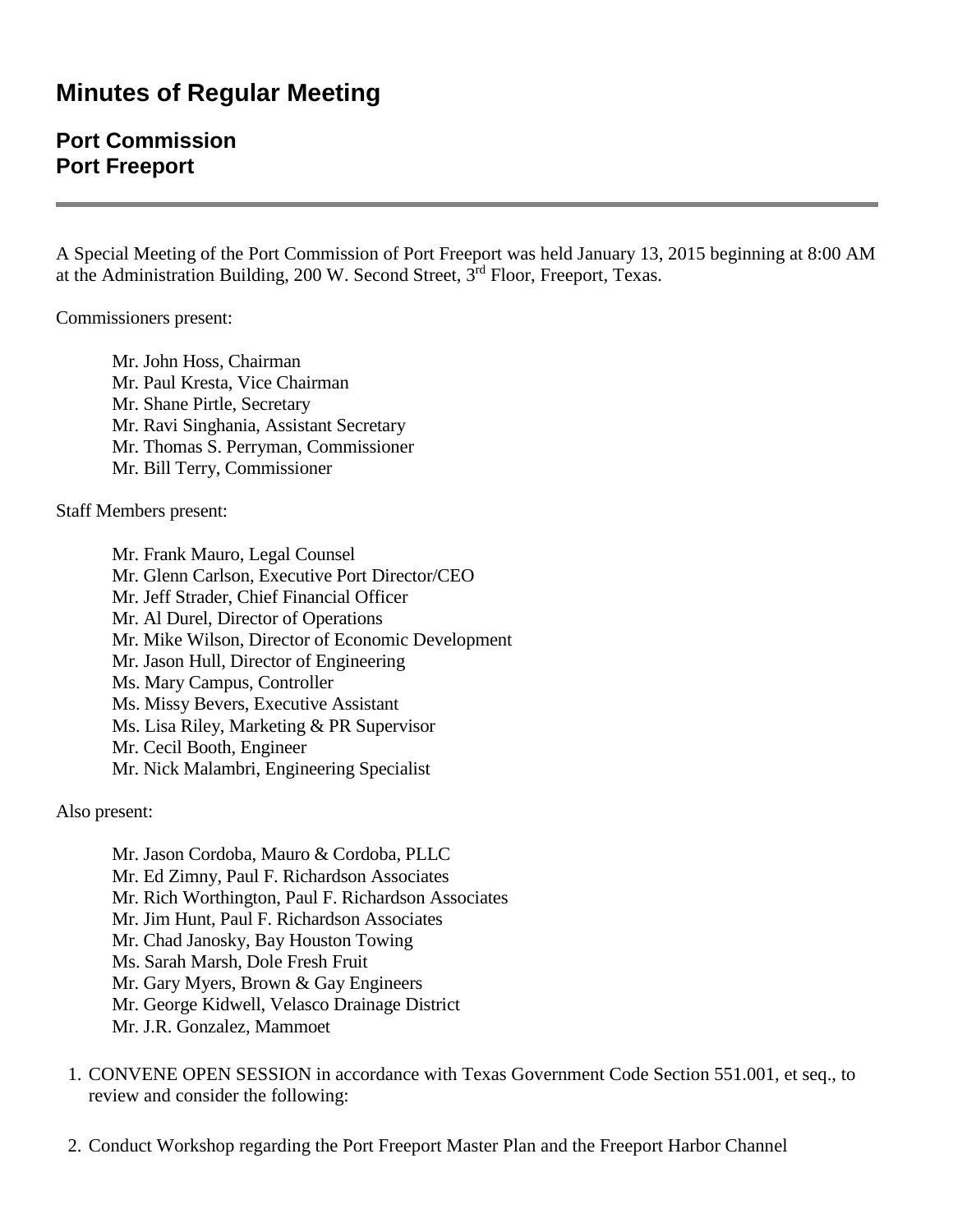## **Minutes of Regular Meeting**

## **Port Commission Port Freeport**

A Special Meeting of the Port Commission of Port Freeport was held January 13, 2015 beginning at 8:00 AM at the Administration Building, 200 W. Second Street, 3rd Floor, Freeport, Texas.

Commissioners present:

Mr. John Hoss, Chairman Mr. Paul Kresta, Vice Chairman Mr. Shane Pirtle, Secretary Mr. Ravi Singhania, Assistant Secretary Mr. Thomas S. Perryman, Commissioner Mr. Bill Terry, Commissioner

Staff Members present:

Mr. Frank Mauro, Legal Counsel Mr. Glenn Carlson, Executive Port Director/CEO Mr. Jeff Strader, Chief Financial Officer Mr. Al Durel, Director of Operations Mr. Mike Wilson, Director of Economic Development Mr. Jason Hull, Director of Engineering Ms. Mary Campus, Controller Ms. Missy Bevers, Executive Assistant Ms. Lisa Riley, Marketing & PR Supervisor Mr. Cecil Booth, Engineer Mr. Nick Malambri, Engineering Specialist

Also present:

Mr. Jason Cordoba, Mauro & Cordoba, PLLC Mr. Ed Zimny, Paul F. Richardson Associates Mr. Rich Worthington, Paul F. Richardson Associates Mr. Jim Hunt, Paul F. Richardson Associates Mr. Chad Janosky, Bay Houston Towing Ms. Sarah Marsh, Dole Fresh Fruit Mr. Gary Myers, Brown & Gay Engineers Mr. George Kidwell, Velasco Drainage District Mr. J.R. Gonzalez, Mammoet

- 1. CONVENE OPEN SESSION in accordance with Texas Government Code Section 551.001, et seq., to review and consider the following:
- 2. Conduct Workshop regarding the Port Freeport Master Plan and the Freeport Harbor Channel